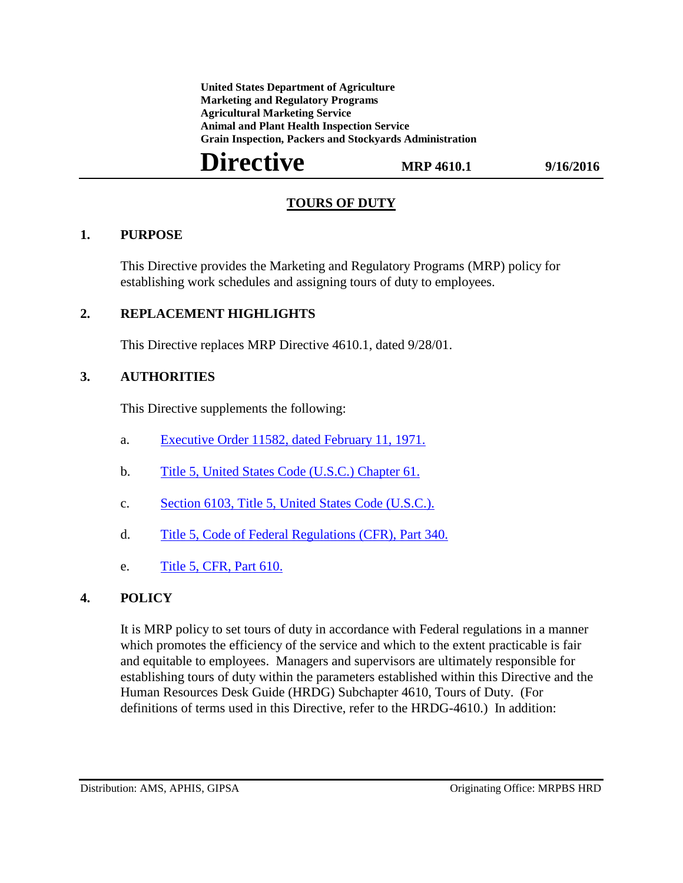**United States Department of Agriculture Marketing and Regulatory Programs Agricultural Marketing Service Animal and Plant Health Inspection Service Grain Inspection, Packers and Stockyards Administration**

# **Directive MRP 4610.1** 9/16/2016

### **TOURS OF DUTY**

#### **1. PURPOSE**

This Directive provides the Marketing and Regulatory Programs (MRP) policy for establishing work schedules and assigning tours of duty to employees.

#### **2. REPLACEMENT HIGHLIGHTS**

This Directive replaces MRP Directive 4610.1, dated 9/28/01.

#### **3. AUTHORITIES**

This Directive supplements the following:

- a. [Executive Order 11582, dated February 11, 1971.](http://www.archives.gov/federal-register/codification/executive-order/11582.html)
- b. [Title 5, United States Code \(U.S.C.\) Chapter 61.](https://www.gpo.gov/fdsys/pkg/USCODE-2011-title5/pdf/USCODE-2011-title5-partIII-subpartE-chap61.pdf)
- c. [Section 6103, Title 5, United States Code \(U.S.C.\).](https://www.gpo.gov/fdsys/pkg/USCODE-2010-title5/pdf/USCODE-2010-title5-partIII-subpartE-chap61-subchapI-sec6103.pdf)
- d. [Title 5, Code of Federal Regulations \(CFR\), Part 340.](http://www.ecfr.gov/cgi-bin/text-idx?SID=01eed0abcc36ba074e4aa859e0369df2&tpl=/ecfrbrowse/Title05/5cfr340_main_02.tpl)
- e. [Title 5, CFR, Part 610.](http://www.ecfr.gov/cgi-bin/text-idx?SID=3d0acc4f99ec424c386d19f07c7eff4a&mc=true&node=pt5.1.610&rgn=div5)

## **4. POLICY**

It is MRP policy to set tours of duty in accordance with Federal regulations in a manner which promotes the efficiency of the service and which to the extent practicable is fair and equitable to employees. Managers and supervisors are ultimately responsible for establishing tours of duty within the parameters established within this Directive and the Human Resources Desk Guide (HRDG) Subchapter 4610, Tours of Duty. (For definitions of terms used in this Directive, refer to the HRDG-4610.) In addition: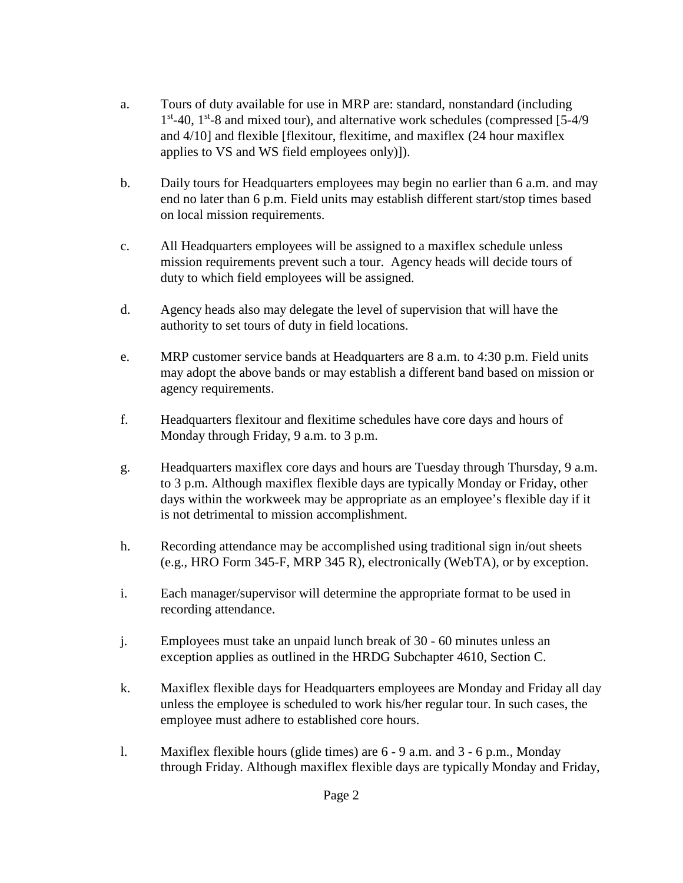- a. Tours of duty available for use in MRP are: standard, nonstandard (including  $1<sup>st</sup>$ -40,  $1<sup>st</sup>$ -8 and mixed tour), and alternative work schedules (compressed [5-4/9 and 4/10] and flexible [flexitour, flexitime, and maxiflex (24 hour maxiflex applies to VS and WS field employees only)]).
- b. Daily tours for Headquarters employees may begin no earlier than 6 a.m. and may end no later than 6 p.m. Field units may establish different start/stop times based on local mission requirements.
- c. All Headquarters employees will be assigned to a maxiflex schedule unless mission requirements prevent such a tour. Agency heads will decide tours of duty to which field employees will be assigned.
- d. Agency heads also may delegate the level of supervision that will have the authority to set tours of duty in field locations.
- e. MRP customer service bands at Headquarters are 8 a.m. to 4:30 p.m. Field units may adopt the above bands or may establish a different band based on mission or agency requirements.
- f. Headquarters flexitour and flexitime schedules have core days and hours of Monday through Friday, 9 a.m. to 3 p.m.
- g. Headquarters maxiflex core days and hours are Tuesday through Thursday, 9 a.m. to 3 p.m. Although maxiflex flexible days are typically Monday or Friday, other days within the workweek may be appropriate as an employee's flexible day if it is not detrimental to mission accomplishment.
- h. Recording attendance may be accomplished using traditional sign in/out sheets (e.g., HRO Form 345-F, MRP 345 R), electronically (WebTA), or by exception.
- i. Each manager/supervisor will determine the appropriate format to be used in recording attendance.
- j. Employees must take an unpaid lunch break of 30 60 minutes unless an exception applies as outlined in the HRDG Subchapter 4610, Section C.
- k. Maxiflex flexible days for Headquarters employees are Monday and Friday all day unless the employee is scheduled to work his/her regular tour. In such cases, the employee must adhere to established core hours.
- l. Maxiflex flexible hours (glide times) are 6 9 a.m. and 3 6 p.m., Monday through Friday. Although maxiflex flexible days are typically Monday and Friday,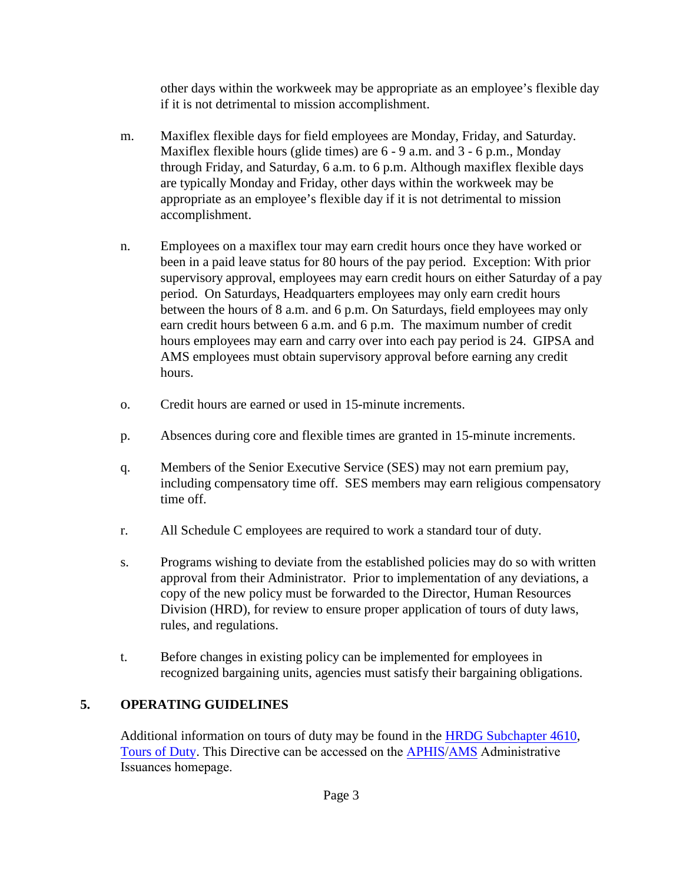other days within the workweek may be appropriate as an employee's flexible day if it is not detrimental to mission accomplishment.

- m. Maxiflex flexible days for field employees are Monday, Friday, and Saturday. Maxiflex flexible hours (glide times) are 6 - 9 a.m. and 3 - 6 p.m., Monday through Friday, and Saturday, 6 a.m. to 6 p.m. Although maxiflex flexible days are typically Monday and Friday, other days within the workweek may be appropriate as an employee's flexible day if it is not detrimental to mission accomplishment.
- n. Employees on a maxiflex tour may earn credit hours once they have worked or been in a paid leave status for 80 hours of the pay period. Exception: With prior supervisory approval, employees may earn credit hours on either Saturday of a pay period. On Saturdays, Headquarters employees may only earn credit hours between the hours of 8 a.m. and 6 p.m. On Saturdays, field employees may only earn credit hours between 6 a.m. and 6 p.m. The maximum number of credit hours employees may earn and carry over into each pay period is 24. GIPSA and AMS employees must obtain supervisory approval before earning any credit hours.
- o. Credit hours are earned or used in 15-minute increments.
- p. Absences during core and flexible times are granted in 15-minute increments.
- q. Members of the Senior Executive Service (SES) may not earn premium pay, including compensatory time off. SES members may earn religious compensatory time off.
- r. All Schedule C employees are required to work a standard tour of duty.
- s. Programs wishing to deviate from the established policies may do so with written approval from their Administrator. Prior to implementation of any deviations, a copy of the new policy must be forwarded to the Director, Human Resources Division (HRD), for review to ensure proper application of tours of duty laws, rules, and regulations.
- t. Before changes in existing policy can be implemented for employees in recognized bargaining units, agencies must satisfy their bargaining obligations.

## **5. OPERATING GUIDELINES**

Additional information on tours of duty may be found in the [HRDG Subchapter 4610,](https://www.aphis.usda.gov/aphis/ourfocus/business-services/forms_publications/hr_desk_guide/hrdg) [Tours of Duty.](https://www.aphis.usda.gov/aphis/ourfocus/business-services/forms_publications/hr_desk_guide/hrdg) This Directive can be accessed on the [APHIS/](https://www.aphis.usda.gov/aphis/resources/manualsandguidelines/SA_Directives)[AMS](https://www.ams.usda.gov/about-ams/policies/ams-issuances) Administrative Issuances homepage.